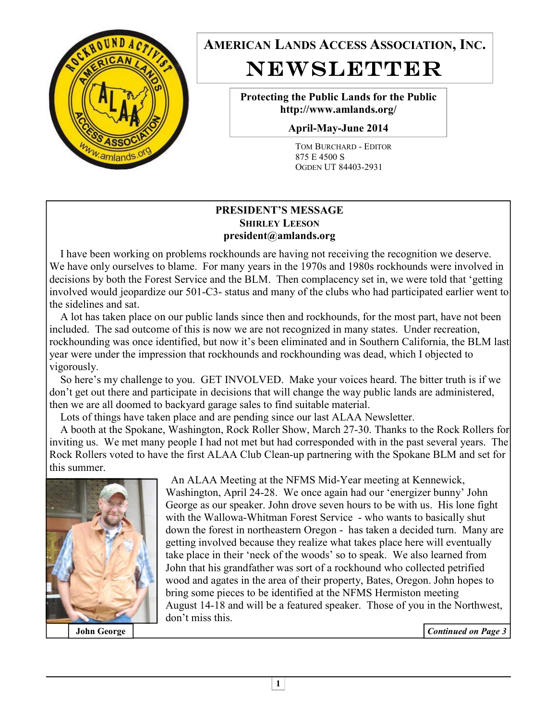

**AMERICAN LANDS ACCESS ASSOCIATION, INC.**  NEWSLETTER

> **Protecting the Public Lands for the Public http://www.amlands.org/**

**April-May-June 2014** 

TOM BURCHARD - EDITOR 875 E 4500 S OGDEN UT 84403-2931

### **PRESIDENT'S MESSAGE SHIRLEY LEESON president@amlands.org**

 I have been working on problems rockhounds are having not receiving the recognition we deserve. We have only ourselves to blame. For many years in the 1970s and 1980s rockhounds were involved in decisions by both the Forest Service and the BLM. Then complacency set in, we were told that 'getting involved would jeopardize our 501-C3- status and many of the clubs who had participated earlier went to the sidelines and sat.

 A lot has taken place on our public lands since then and rockhounds, for the most part, have not been included. The sad outcome of this is now we are not recognized in many states. Under recreation, rockhounding was once identified, but now it's been eliminated and in Southern California, the BLM last year were under the impression that rockhounds and rockhounding was dead, which I objected to vigorously.

 So here's my challenge to you. GET INVOLVED. Make your voices heard. The bitter truth is if we don't get out there and participate in decisions that will change the way public lands are administered, then we are all doomed to backyard garage sales to find suitable material.

Lots of things have taken place and are pending since our last ALAA Newsletter.

 A booth at the Spokane, Washington, Rock Roller Show, March 27-30. Thanks to the Rock Rollers for inviting us. We met many people I had not met but had corresponded with in the past several years. The Rock Rollers voted to have the first ALAA Club Clean-up partnering with the Spokane BLM and set for this summer.



 An ALAA Meeting at the NFMS Mid-Year meeting at Kennewick, Washington, April 24-28. We once again had our 'energizer bunny' John George as our speaker. John drove seven hours to be with us. His lone fight with the Wallowa-Whitman Forest Service - who wants to basically shut down the forest in northeastern Oregon - has taken a decided turn. Many are getting involved because they realize what takes place here will eventually take place in their 'neck of the woods' so to speak. We also learned from John that his grandfather was sort of a rockhound who collected petrified wood and agates in the area of their property, Bates, Oregon. John hopes to bring some pieces to be identified at the NFMS Hermiston meeting August 14-18 and will be a featured speaker. Those of you in the Northwest, don't miss this.

**John George** *Continued on Page 3*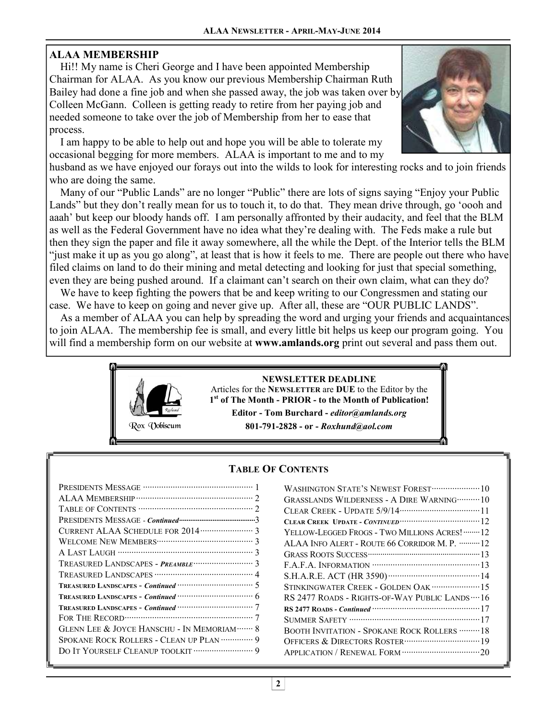# **ALAA MEMBERSHIP**

 Hi!! My name is Cheri George and I have been appointed Membership Chairman for ALAA. As you know our previous Membership Chairman Ruth Bailey had done a fine job and when she passed away, the job was taken over by Colleen McGann. Colleen is getting ready to retire from her paying job and needed someone to take over the job of Membership from her to ease that process.

 I am happy to be able to help out and hope you will be able to tolerate my occasional begging for more members. ALAA is important to me and to my



husband as we have enjoyed our forays out into the wilds to look for interesting rocks and to join friends who are doing the same.

 Many of our "Public Lands" are no longer "Public" there are lots of signs saying "Enjoy your Public Lands" but they don't really mean for us to touch it, to do that. They mean drive through, go 'oooh and aaah' but keep our bloody hands off. I am personally affronted by their audacity, and feel that the BLM as well as the Federal Government have no idea what they're dealing with. The Feds make a rule but then they sign the paper and file it away somewhere, all the while the Dept. of the Interior tells the BLM "just make it up as you go along", at least that is how it feels to me. There are people out there who have filed claims on land to do their mining and metal detecting and looking for just that special something, even they are being pushed around. If a claimant can't search on their own claim, what can they do?

 We have to keep fighting the powers that be and keep writing to our Congressmen and stating our case. We have to keep on going and never give up. After all, these are "OUR PUBLIC LANDS".

 As a member of ALAA you can help by spreading the word and urging your friends and acquaintances to join ALAA. The membership fee is small, and every little bit helps us keep our program going. You will find a membership form on our website at **www.amlands.org** print out several and pass them out.



### **TABLE OF CONTENTS**

| TREASURED LANDSCAPES - Continued <b>CONSTRAINING</b> 5   |
|----------------------------------------------------------|
| TREASURED LANDSCAPES - Continued <b>With CONSTRESS</b>   |
| TREASURED LANDSCAPES - Continued <b>With Continues</b> 7 |
|                                                          |
| GLENN LEE & JOYCE HANSCHU - IN MEMORIAM ······· 8        |
| SPOKANE ROCK ROLLERS - CLEAN UP PLAN  9                  |
|                                                          |
|                                                          |

| <b>GRASSLANDS WILDERNESS - A DIRE WARNING ··········· 10</b> |
|--------------------------------------------------------------|
|                                                              |
|                                                              |
| YELLOW-LEGGED FROGS - TWO MILLIONS ACRES!  12                |
| ALAA INFO ALERT - ROUTE 66 CORRIDOR M. P.  12                |
|                                                              |
|                                                              |
|                                                              |
| STINKINGWATER CREEK - GOLDEN OAK ······················ 15   |
| RS 2477 ROADS - RIGHTS-OF-WAY PUBLIC LANDS  16               |
|                                                              |
| SUMMER SAFETY …………………………………………………17                          |
| BOOTH INVITATION - SPOKANE ROCK ROLLERS  18                  |
|                                                              |
|                                                              |
|                                                              |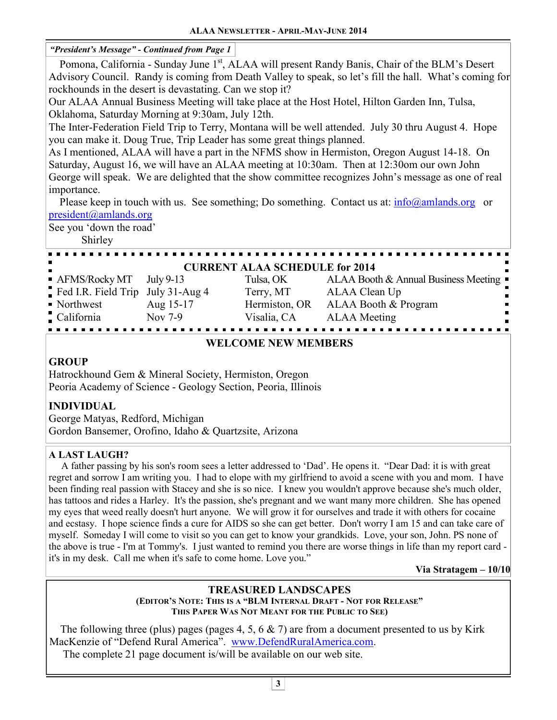### *"President's Message" - Continued from Page 1*

Pomona, California - Sunday June 1<sup>st</sup>, ALAA will present Randy Banis, Chair of the BLM's Desert Advisory Council. Randy is coming from Death Valley to speak, so let's fill the hall. What's coming for rockhounds in the desert is devastating. Can we stop it?

Our ALAA Annual Business Meeting will take place at the Host Hotel, Hilton Garden Inn, Tulsa, Oklahoma, Saturday Morning at 9:30am, July 12th.

The Inter-Federation Field Trip to Terry, Montana will be well attended. July 30 thru August 4. Hope you can make it. Doug True, Trip Leader has some great things planned.

As I mentioned, ALAA will have a part in the NFMS show in Hermiston, Oregon August 14-18. On Saturday, August 16, we will have an ALAA meeting at 10:30am. Then at 12:30om our own John George will speak. We are delighted that the show committee recognizes John's message as one of real importance.

Please keep in touch with us. See something; Do something. Contact us at:  $\frac{info(Qamlands.org)}{info(Qamlands.org)}$ president@amlands.org

See you 'down the road'

Shirley

|                                   |           | <b>CURRENT ALAA SCHEDULE for 2014</b> |                                                     |
|-----------------------------------|-----------|---------------------------------------|-----------------------------------------------------|
| • AFMS/Rocky MT July 9-13         |           | Tulsa, OK                             | ALAA Booth & Annual Business Meeting $\blacksquare$ |
| Fed I.R. Field Trip July 31-Aug 4 |           | Terry, MT                             | ALAA Clean Up                                       |
| • Northwest                       | Aug 15-17 | Hermiston, OR                         | ALAA Booth & Program                                |
| California                        | Nov 7-9   | Visalia, CA                           | <b>ALAA</b> Meeting                                 |
|                                   |           |                                       |                                                     |

### **WELCOME NEW MEMBERS**

# **GROUP**

Hatrockhound Gem & Mineral Society, Hermiston, Oregon Peoria Academy of Science - Geology Section, Peoria, Illinois

### **INDIVIDUAL**

George Matyas, Redford, Michigan Gordon Bansemer, Orofino, Idaho & Quartzsite, Arizona

### **A LAST LAUGH?**

 A father passing by his son's room sees a letter addressed to 'Dad'. He opens it. "Dear Dad: it is with great regret and sorrow I am writing you. I had to elope with my girlfriend to avoid a scene with you and mom. I have been finding real passion with Stacey and she is so nice. I knew you wouldn't approve because she's much older, has tattoos and rides a Harley. It's the passion, she's pregnant and we want many more children. She has opened my eyes that weed really doesn't hurt anyone. We will grow it for ourselves and trade it with others for cocaine and ecstasy. I hope science finds a cure for AIDS so she can get better. Don't worry I am 15 and can take care of myself. Someday I will come to visit so you can get to know your grandkids. Love, your son, John. PS none of the above is true - I'm at Tommy's. I just wanted to remind you there are worse things in life than my report card it's in my desk. Call me when it's safe to come home. Love you."

**Via Stratagem – 10/10** 

#### **TREASURED LANDSCAPES (EDITOR'S NOTE: THIS IS A "BLM INTERNAL DRAFT - NOT FOR RELEASE" THIS PAPER WAS NOT MEANT FOR THE PUBLIC TO SEE)**

The following three (plus) pages (pages 4, 5, 6  $\&$  7) are from a document presented to us by Kirk MacKenzie of "Defend Rural America". www.DefendRuralAmerica.com.

The complete 21 page document is/will be available on our web site.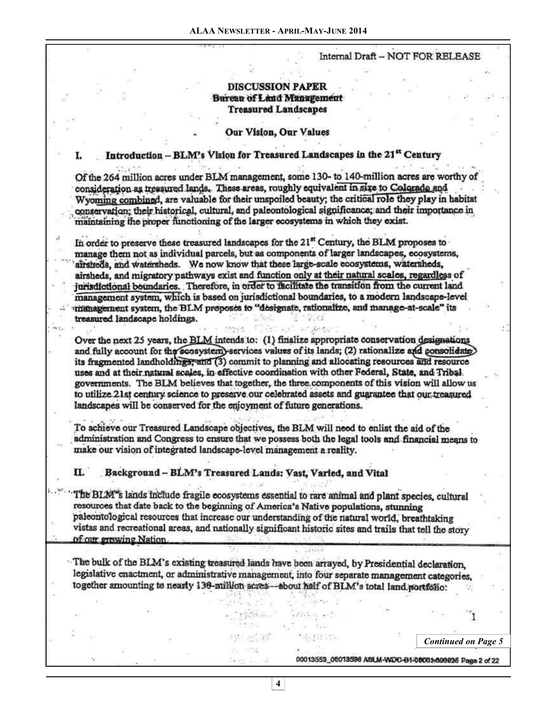#### Internal Draft - NOT FOR RELEASE

#### **DISCUSSION PAPER** Bureau of Land Management **Treasured Landscapes**

#### Our Vision, Our Values

#### Introduction - BLM's Vision for Treasured Landscapes in the 21<sup>st</sup> Century

Of the 264 million acres under BLM management, some 130- to 140-million acres are worthy of consideration as treasured lands. These areas, roughly equivalent in size to Colorado and Wyoming combined, are valuable for their unspoiled beauty; the critical role they play in habitat conservation; their historical, cultural, and paleontological significance; and their importance in maintaining the proper functioning of the larger ecosystems in which they exist.

In order to preserve these treasured landscapes for the 21<sup>st</sup> Century, the BLM proposes to manage them not as individual parcels, but as components of larger landscapes, ecosystems, airsheds, and watersheds. We now know that these large-scale ecosystems, watersheds, airsheds, and migratory pathways exist and function only at their natural scales, regardless of jurisdictional boundaries. Therefore, in order to facilitate the transition from the current land management system, which is based on jurisdictional boundaries, to a modern landscape-level intenagement system, the BLM proposes to "designate, rationalize, and manage-at-scale" its treasured landscape holdings. **Software** 

Over the next 25 years, the BLM intends to: (1) finalize appropriate conservation designations and fully account for the ecosystem) services values of its lands; (2) rationalize and consolidate) its fragmented landholdings, and (3) commit to planning and allocating resources and resource uses and at their natural scales, in effective coordination with other Federal, State, and Tribal. governments. The BLM believes that together, the three components of this vision will allow us to utilize 21st century science to preserve our celebrated assets and guarantee that our treasured landscapes will be conserved for the enjoyment of future generations.

To achieve our Treasured Landscape objectives, the BLM will need to enlist the aid of the administration and Congress to ensure that we possess both the legal tools and financial means to make our vision of integrated landscape-level management a reality.

#### Background - BLM's Treasured Lands: Vast, Varied, and Vital П.

The BLM<sup>\*</sup>s lands include fragile ecosystems essential to rare animal and plant species, cultural resources that date back to the beginning of America's Native populations, stunning paleontological resources that increase our understanding of the natural world, breathtaking vistas and recreational areas, and nationally significant historic sites and trails that tell the story of our prowing Nation.

The bulk of the BLM's existing treasured lands have been arrayed, by Presidential declaration. legislative enactment, or administrative management, into four separate management categories, together amounting to nearly 130-million acres-about half of BLM's total land portfolio:

> $\label{eq:4.1} \mathcal{F}^{(1)}_{\mathcal{R}}\mathcal{F}^{(1)}_{\mathcal{R}}\mathcal{F}^{(2)}_{\mathcal{R}}\mathcal{F}^{(1)}_{\mathcal{R}}\mathcal{F}^{(2)}_{\mathcal{R}}\mathcal{F}^{(1)}_{\mathcal{R}}\mathcal{F}^{(2)}_{\mathcal{R}}\mathcal{F}^{(2)}_{\mathcal{R}}\mathcal{F}^{(2)}_{\mathcal{R}}\mathcal{F}^{(2)}_{\mathcal{R}}$  $2 + 2$   $\leq$   $2 + 2$

> > さん様に作

控制加速器

*Continued on Page 5* 

00013559\_08013596 ASLM-WDC-B1-00001-006925 Page 2 of 22

**4**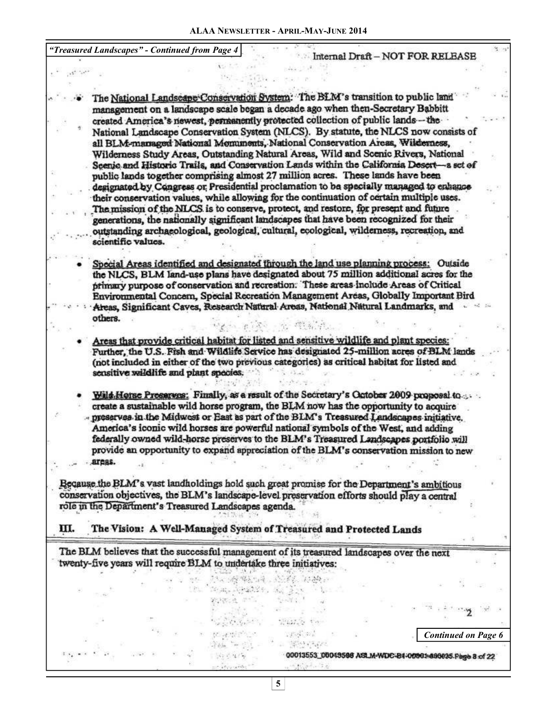*"Treasured Landscapes" - Continued from Page 4*  Internal Draft - NOT FOR RELEASE  $\mathbf{A}^{(k-1)}, \mathbf{A}^{(k)}$ The National Landscape Conservation System: The BLM's transition to public land management on a landscape scale began a decade ago when then-Secretary Babbitt created America's newest, permanently protected collection of public lands - the National Landscape Conservation System (NLCS). By statute, the NLCS now consists of all BLM-managed National Momunents, National Conservation Areas, Wilderness, Wilderness Study Areas, Outstanding Natural Areas, Wild and Scenic Rivers, National Seenie and Historic Trails, and Conservation Lands within the California Desert-a set of public lands together comprising almost 27 million acres. These lands have been designated by Congress or Presidential proclamation to be specially managed to enhance their conservation values, while allowing for the continuation of certain multiple uses. The mission of the NLCS is to conserve, protect, and restore, for present and future generations, the nationally significant landscapes that have been recognized for their outstanding archaeological, geological, cultural, ecological, wilderness, recreation, and scientific values. Special Areas identified and designated through the land use planning process: Outside the NLCS, BLM land-use plans have designated about 75 million additional acres for the primary purpose of conservation and recreation. These areas include Areas of Critical Environmental Concern, Special Recreation Management Areas, Globally Important Bird Aleas, Significant Caves, Research Natural Areas, National Natural Landmarks, and others. 1000 - Paul PREMIX Areas that provide critical habitat for listed and sensitive wildlife and plant species: Further, the U.S. Fish and Wildlife Service has designated 25-million acres of BLM lands (not included in either of the two previous categories) as critical habitat for listed and sensitive wildlife and plant species.  $-2.12 - 2.2$ Wild Horse Preserves: Finally, as a result of the Secretary's October 2009 proposal to ... create a sustainable wild horse program, the BLM now has the opportunity to acquire ... preserves in the Midwest or East as part of the BLM's Treasured Landscapes initiative. America's iconic wild horses are powerful national symbols of the West, and adding federally owned wild-horse preserves to the BLM's Treasured Landscapes portfolio will provide an opportunity to expand appreciation of the BLM's conservation mission to new areas. Because the BLM's vast landholdings hold such great promise for the Department's ambitious conservation objectives, the BLM's landscape-level preservation efforts should play a central role in the Department's Treasured Landscapes agenda. ш. The Vision: A Well-Managed System of Treasured and Protected Lands The BLM believes that the successful management of its treasured landscapes over the next twenty-five years will require BLM to undertake three initiatives: i 1949 (1968) - Linguage Calledon<br>1952 - Andrew Calledon, Amerikaansk filosoof State Approach of the State of the para est part Special County  $\mathcal{L}P\circ\mathcal{C}^{\mathcal{C}}_{\mathcal{P}}\circ\mathcal{D}^{\mathcal{A}}_{\mathcal{P}}$ Monday of the State *Continued on Page 6*  $\label{eq:1} \mathcal{L}_{\text{min}} = \mathcal{L}_{\text{max}} = 1.1$ 4 能分析器 00013553\_00043586 ASLM-WDC-B4-00001-890025.Page 8 of 22  $14.5 < 4.7$ 

Website Sta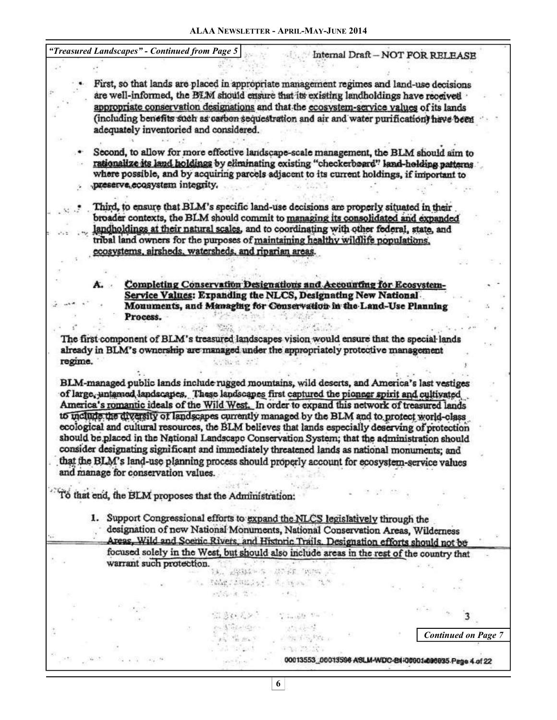*"Treasured Landscapes" - Continued from Page 5* 

 $\ddotsc$ 

Internal Draft - NOT FOR RELEASE

*Continued on Page 7* 

00013553\_00013596 ASLM-WDC-84-00901a090935 Page 4 of 22

First, so that lands are placed in appropriate management regimes and land-use decisions are well-informed, the BLM should ensure that its existing landholdings have received appropriate conservation designations and that the ecosystem-service values of its lands (including benefits such as carbon sequestration and air and water purification) have been adequately inventoried and considered.

Second, to allow for more effective landscape-scale management, the BLM should aim to rationalize its land holdings by eliminating existing "checkerboard" land-holding patterns where possible, and by acquiring parcels adjacent to its current holdings, if important to preserve ecosystem integrity.

Third, to ensure that BLM's specific land-use decisions are properly situated in their broader contexts, the BLM should commit to managing its consolidated and expanded landholdings at their natural scales, and to coordinating with other federal, state, and tribal land owners for the purposes of maintaining healthy wildlife populations. ecosystems, airsheds, watersheds, and riparian areas.

Completing Conservation Designations and Accounting for Ecosystem-Service Values: Expanding the NLCS, Designating New National Monuments, and Managing for Conservation in the Land-Use Planning Process.  $-1.57 \pm 0.001$ 一"型不起

The first component of BLM's treasured landscapes vision would ensure that the special lands already in BLM's ownership are managed under the appropriately protective management regime. Charles and

and Market and and an

BLM-managed public lands include rugged mountains, wild deserts, and America's last vestiges of large, untamed landscapes. These landscapes first captured the pioneer spirit and cultivated America's romantic ideals of the Wild West. In order to expand this network of treasured lands to include the diversity of landscapes currently managed by the BLM and to protect world-class ecological and cultural resources, the BLM believes that lands especially deserving of protection should be placed in the National Landscape Conservation System; that the administration should consider designating significant and immediately threatened lands as national monuments; and that the BLM's land-use planning process should properly account for ecosystem-service values and manage for conservation values.

To that end, the BLM proposes that the Administration:

1. Support Congressional efforts to expand the NLCS legislatively through the designation of new National Monuments, National Conservation Areas, Wilderness Areas, Wild and Soemic Rivers, and Historic Trails. Designation efforts should not be focused solely in the West, but should also include areas in the rest of the country that warrant such protection. 

thing showing to the same of the

公安さんとう ニーサムル かいしゃ

 $\mathcal{L}^{\bullet}$  ,  $\mathcal{L}^{\bullet}$  ,  $\mathcal{L}^{\bullet}$ 

Jones Contract 中国 第二次

 $\label{eq:Ricci} \rho\left(\xi_{\rm P}^{\rm T},\xi_{\rm P}^{\rm T},\xi_{\rm P}^{\rm T},\xi_{\rm P}^{\rm T},\xi_{\rm P}^{\rm T},\xi_{\rm P}^{\rm T},\xi_{\rm P}^{\rm T},\xi_{\rm P}^{\rm T},\xi_{\rm P}^{\rm T},\xi_{\rm P}^{\rm T},\xi_{\rm P}^{\rm T},\xi_{\rm P}^{\rm T},\xi_{\rm P}^{\rm T},\xi_{\rm P}^{\rm T},\xi_{\rm P}^{\rm T},\xi_{\rm P}^{\rm T},\xi_{\rm P}^{\rm T},\xi_{$ 

 $P = \frac{1}{2} \sqrt{\frac{2}{16}} \frac{P}{P} = \frac{1}{16} \frac{P}{P} = 1$ 

 $\label{eq:2.1} \mathcal{L} \stackrel{\text{def}}{=} \mathcal{L} \stackrel{\text{def}}{=} \mathcal{L} \mathcal{L} \times \mathcal{L}$ 

**6**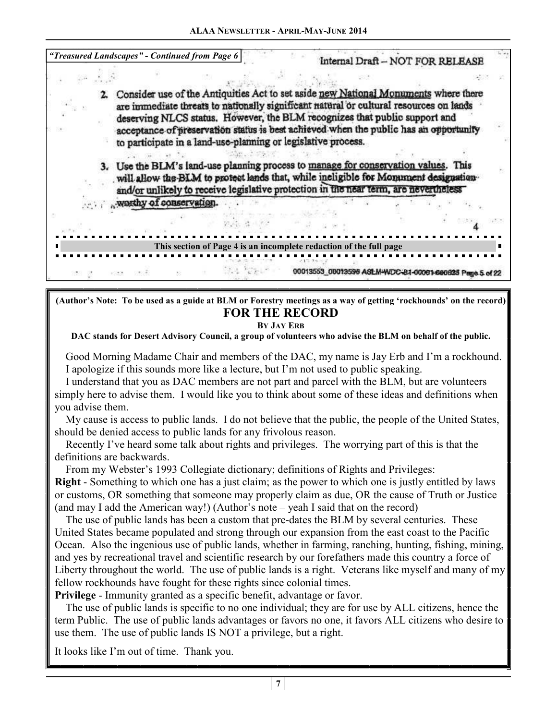| "Treasured Landscapes" - Continued from Page 6 |                                                                                    |                                                                                                                                                                                                                                                                                                                                                                                                                       |  |  |  |  | Internal Draft - NOT FOR RELEASE                        |  |
|------------------------------------------------|------------------------------------------------------------------------------------|-----------------------------------------------------------------------------------------------------------------------------------------------------------------------------------------------------------------------------------------------------------------------------------------------------------------------------------------------------------------------------------------------------------------------|--|--|--|--|---------------------------------------------------------|--|
|                                                |                                                                                    |                                                                                                                                                                                                                                                                                                                                                                                                                       |  |  |  |  |                                                         |  |
|                                                |                                                                                    | Consider use of the Antiquities Act to set aside new National Monuments where there<br>are immediate threats to nationally significant natural or cultural resources on lands<br>deserving NLCS status. However, the BLM recognizes that public support and<br>acceptance of preservation status is best achieved when the public has an opportunity<br>to participate in a land-use-planning or legislative process. |  |  |  |  |                                                         |  |
|                                                | 3. Use the BLM's land-use planning process to manage for conservation values. This | will allow the BLM to protect lands that, while incligible for Monument designation-<br>and/or unlikely to receive legislative protection in the near term, are nevertheless                                                                                                                                                                                                                                          |  |  |  |  |                                                         |  |
|                                                | worthy of conservation.                                                            |                                                                                                                                                                                                                                                                                                                                                                                                                       |  |  |  |  |                                                         |  |
|                                                |                                                                                    |                                                                                                                                                                                                                                                                                                                                                                                                                       |  |  |  |  |                                                         |  |
|                                                |                                                                                    | This section of Page 4 is an incomplete redaction of the full page                                                                                                                                                                                                                                                                                                                                                    |  |  |  |  |                                                         |  |
|                                                |                                                                                    |                                                                                                                                                                                                                                                                                                                                                                                                                       |  |  |  |  | 00013553_00013596 ASLM-WDC-81-00061-000635 Page 5 of 22 |  |

**(Author's Note: To be used as a guide at BLM or Forestry meetings as a way of getting 'rockhounds' on the record) FOR THE RECORD** 

**BY JAY ERB**

**DAC stands for Desert Advisory Council, a group of volunteers who advise the BLM on behalf of the public.** 

 Good Morning Madame Chair and members of the DAC, my name is Jay Erb and I'm a rockhound. I apologize if this sounds more like a lecture, but I'm not used to public speaking.

 I understand that you as DAC members are not part and parcel with the BLM, but are volunteers simply here to advise them. I would like you to think about some of these ideas and definitions when you advise them.

 My cause is access to public lands. I do not believe that the public, the people of the United States, should be denied access to public lands for any frivolous reason.

 Recently I've heard some talk about rights and privileges. The worrying part of this is that the definitions are backwards.

From my Webster's 1993 Collegiate dictionary; definitions of Rights and Privileges:

**Right** - Something to which one has a just claim; as the power to which one is justly entitled by laws or customs, OR something that someone may properly claim as due, OR the cause of Truth or Justice (and may I add the American way!) (Author's note – yeah I said that on the record)

 The use of public lands has been a custom that pre-dates the BLM by several centuries. These United States became populated and strong through our expansion from the east coast to the Pacific Ocean. Also the ingenious use of public lands, whether in farming, ranching, hunting, fishing, mining, and yes by recreational travel and scientific research by our forefathers made this country a force of Liberty throughout the world. The use of public lands is a right. Veterans like myself and many of my fellow rockhounds have fought for these rights since colonial times.

**Privilege** - Immunity granted as a specific benefit, advantage or favor.

 The use of public lands is specific to no one individual; they are for use by ALL citizens, hence the term Public. The use of public lands advantages or favors no one, it favors ALL citizens who desire to use them. The use of public lands IS NOT a privilege, but a right.

It looks like I'm out of time. Thank you.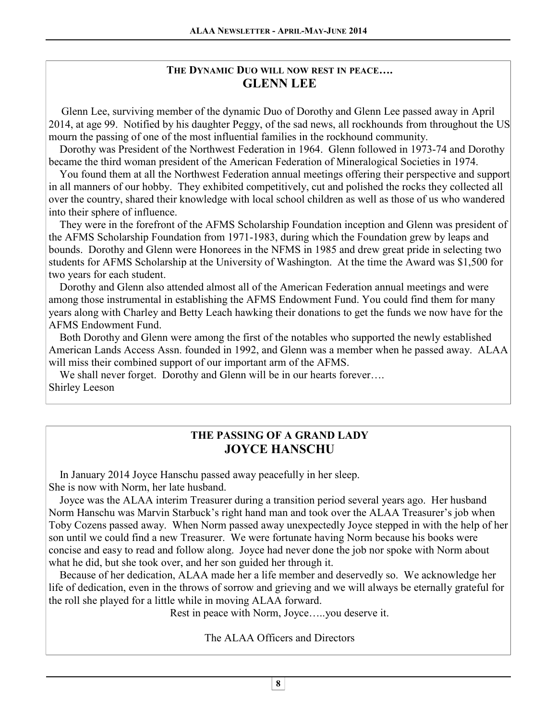# **THE DYNAMIC DUO WILL NOW REST IN PEACE…. GLENN LEE**

 Glenn Lee, surviving member of the dynamic Duo of Dorothy and Glenn Lee passed away in April 2014, at age 99. Notified by his daughter Peggy, of the sad news, all rockhounds from throughout the US mourn the passing of one of the most influential families in the rockhound community.

 Dorothy was President of the Northwest Federation in 1964. Glenn followed in 1973-74 and Dorothy became the third woman president of the American Federation of Mineralogical Societies in 1974.

 You found them at all the Northwest Federation annual meetings offering their perspective and support in all manners of our hobby. They exhibited competitively, cut and polished the rocks they collected all over the country, shared their knowledge with local school children as well as those of us who wandered into their sphere of influence.

 They were in the forefront of the AFMS Scholarship Foundation inception and Glenn was president of the AFMS Scholarship Foundation from 1971-1983, during which the Foundation grew by leaps and bounds. Dorothy and Glenn were Honorees in the NFMS in 1985 and drew great pride in selecting two students for AFMS Scholarship at the University of Washington. At the time the Award was \$1,500 for two years for each student.

 Dorothy and Glenn also attended almost all of the American Federation annual meetings and were among those instrumental in establishing the AFMS Endowment Fund. You could find them for many years along with Charley and Betty Leach hawking their donations to get the funds we now have for the AFMS Endowment Fund.

 Both Dorothy and Glenn were among the first of the notables who supported the newly established American Lands Access Assn. founded in 1992, and Glenn was a member when he passed away. ALAA will miss their combined support of our important arm of the AFMS.

We shall never forget. Dorothy and Glenn will be in our hearts forever.... Shirley Leeson

# **THE PASSING OF A GRAND LADY JOYCE HANSCHU**

 In January 2014 Joyce Hanschu passed away peacefully in her sleep. She is now with Norm, her late husband.

 Joyce was the ALAA interim Treasurer during a transition period several years ago. Her husband Norm Hanschu was Marvin Starbuck's right hand man and took over the ALAA Treasurer's job when Toby Cozens passed away. When Norm passed away unexpectedly Joyce stepped in with the help of her son until we could find a new Treasurer. We were fortunate having Norm because his books were concise and easy to read and follow along. Joyce had never done the job nor spoke with Norm about what he did, but she took over, and her son guided her through it.

 Because of her dedication, ALAA made her a life member and deservedly so. We acknowledge her life of dedication, even in the throws of sorrow and grieving and we will always be eternally grateful for the roll she played for a little while in moving ALAA forward.

Rest in peace with Norm, Joyce…..you deserve it.

The ALAA Officers and Directors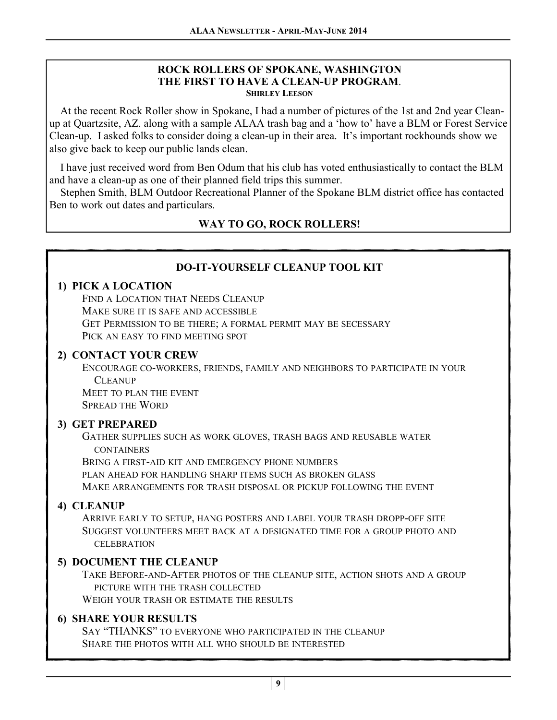### **ROCK ROLLERS OF SPOKANE, WASHINGTON THE FIRST TO HAVE A CLEAN-UP PROGRAM**. **SHIRLEY LEESON**

 At the recent Rock Roller show in Spokane, I had a number of pictures of the 1st and 2nd year Cleanup at Quartzsite, AZ. along with a sample ALAA trash bag and a 'how to' have a BLM or Forest Service Clean-up. I asked folks to consider doing a clean-up in their area. It's important rockhounds show we also give back to keep our public lands clean.

 I have just received word from Ben Odum that his club has voted enthusiastically to contact the BLM and have a clean-up as one of their planned field trips this summer.

 Stephen Smith, BLM Outdoor Recreational Planner of the Spokane BLM district office has contacted Ben to work out dates and particulars.

# **WAY TO GO, ROCK ROLLERS!**

## **DO-IT-YOURSELF CLEANUP TOOL KIT**

### **1) PICK A LOCATION**

FIND A LOCATION THAT NEEDS CLEANUP MAKE SURE IT IS SAFE AND ACCESSIBLE GET PERMISSION TO BE THERE; A FORMAL PERMIT MAY BE SECESSARY PICK AN EASY TO FIND MEETING SPOT

### **2) CONTACT YOUR CREW**

ENCOURAGE CO-WORKERS, FRIENDS, FAMILY AND NEIGHBORS TO PARTICIPATE IN YOUR **CLEANUP**  MEET TO PLAN THE EVENT SPREAD THE WORD

### **3) GET PREPARED**

GATHER SUPPLIES SUCH AS WORK GLOVES, TRASH BAGS AND REUSABLE WATER **CONTAINERS** 

BRING A FIRST-AID KIT AND EMERGENCY PHONE NUMBERS

PLAN AHEAD FOR HANDLING SHARP ITEMS SUCH AS BROKEN GLASS

MAKE ARRANGEMENTS FOR TRASH DISPOSAL OR PICKUP FOLLOWING THE EVENT

### **4) CLEANUP**

ARRIVE EARLY TO SETUP, HANG POSTERS AND LABEL YOUR TRASH DROPP-OFF SITE SUGGEST VOLUNTEERS MEET BACK AT A DESIGNATED TIME FOR A GROUP PHOTO AND **CELEBRATION** 

### **5) DOCUMENT THE CLEANUP**

TAKE BEFORE-AND-AFTER PHOTOS OF THE CLEANUP SITE, ACTION SHOTS AND A GROUP PICTURE WITH THE TRASH COLLECTED

WEIGH YOUR TRASH OR ESTIMATE THE RESULTS

### **6) SHARE YOUR RESULTS**

 SAY "THANKS" TO EVERYONE WHO PARTICIPATED IN THE CLEANUP SHARE THE PHOTOS WITH ALL WHO SHOULD BE INTERESTED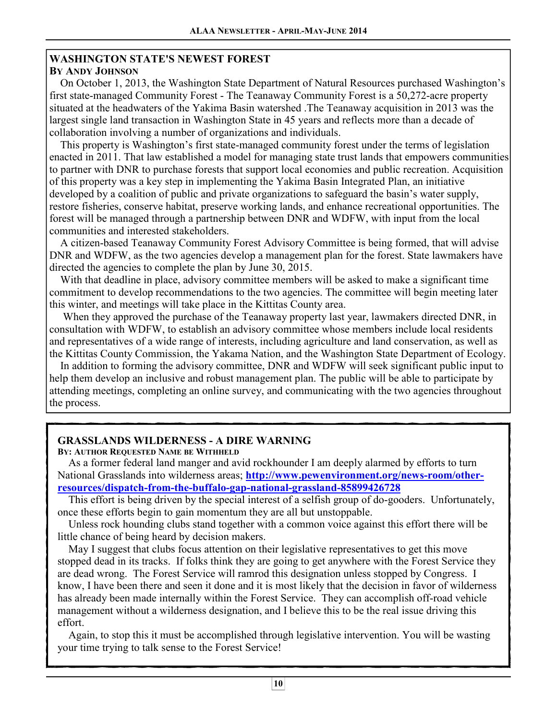# **WASHINGTON STATE'S NEWEST FOREST**

### **BY ANDY JOHNSON**

 On October 1, 2013, the Washington State Department of Natural Resources purchased Washington's first state-managed Community Forest - The Teanaway Community Forest is a 50,272-acre property situated at the headwaters of the Yakima Basin watershed .The Teanaway acquisition in 2013 was the largest single land transaction in Washington State in 45 years and reflects more than a decade of collaboration involving a number of organizations and individuals.

 This property is Washington's first state-managed community forest under the terms of legislation enacted in 2011. That law established a model for managing state trust lands that empowers communities to partner with DNR to purchase forests that support local economies and public recreation. Acquisition of this property was a key step in implementing the Yakima Basin Integrated Plan, an initiative developed by a coalition of public and private organizations to safeguard the basin's water supply, restore fisheries, conserve habitat, preserve working lands, and enhance recreational opportunities. The forest will be managed through a partnership between DNR and WDFW, with input from the local communities and interested stakeholders.

 A citizen-based Teanaway Community Forest Advisory Committee is being formed, that will advise DNR and WDFW, as the two agencies develop a management plan for the forest. State lawmakers have directed the agencies to complete the plan by June 30, 2015.

 With that deadline in place, advisory committee members will be asked to make a significant time commitment to develop recommendations to the two agencies. The committee will begin meeting later this winter, and meetings will take place in the Kittitas County area.

 When they approved the purchase of the Teanaway property last year, lawmakers directed DNR, in consultation with WDFW, to establish an advisory committee whose members include local residents and representatives of a wide range of interests, including agriculture and land conservation, as well as the Kittitas County Commission, the Yakama Nation, and the Washington State Department of Ecology.

 In addition to forming the advisory committee, DNR and WDFW will seek significant public input to help them develop an inclusive and robust management plan. The public will be able to participate by attending meetings, completing an online survey, and communicating with the two agencies throughout the process.

# **GRASSLANDS WILDERNESS - A DIRE WARNING**

### **BY: AUTHOR REQUESTED NAME BE WITHHELD**

 As a former federal land manger and avid rockhounder I am deeply alarmed by efforts to turn National Grasslands into wilderness areas; **http://www.pewenvironment.org/news-room/otherresources/dispatch-from-the-buffalo-gap-national-grassland-85899426728**

 This effort is being driven by the special interest of a selfish group of do-gooders. Unfortunately, once these efforts begin to gain momentum they are all but unstoppable.

 Unless rock hounding clubs stand together with a common voice against this effort there will be little chance of being heard by decision makers.

 May I suggest that clubs focus attention on their legislative representatives to get this move stopped dead in its tracks. If folks think they are going to get anywhere with the Forest Service they are dead wrong. The Forest Service will ramrod this designation unless stopped by Congress. I know, I have been there and seen it done and it is most likely that the decision in favor of wilderness has already been made internally within the Forest Service. They can accomplish off-road vehicle management without a wilderness designation, and I believe this to be the real issue driving this effort.

 Again, to stop this it must be accomplished through legislative intervention. You will be wasting your time trying to talk sense to the Forest Service!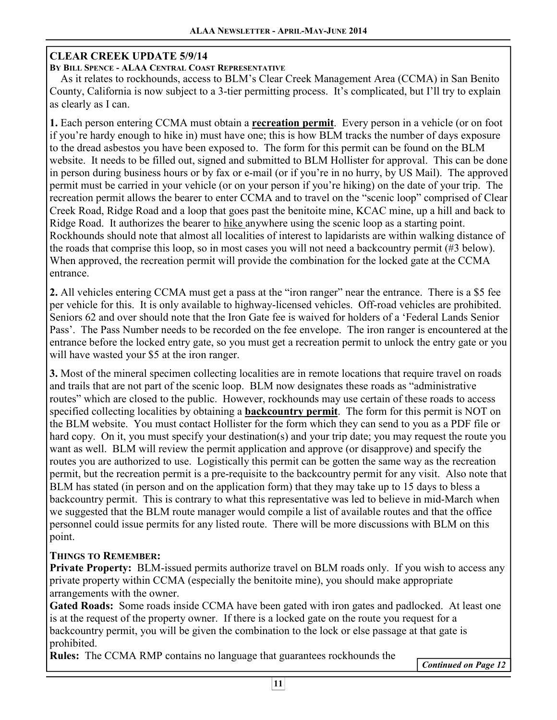### **CLEAR CREEK UPDATE 5/9/14**

**BY BILL SPENCE - ALAA CENTRAL COAST REPRESENTATIVE**

 As it relates to rockhounds, access to BLM's Clear Creek Management Area (CCMA) in San Benito County, California is now subject to a 3-tier permitting process. It's complicated, but I'll try to explain as clearly as I can.

**1.** Each person entering CCMA must obtain a **recreation permit**. Every person in a vehicle (or on foot if you're hardy enough to hike in) must have one; this is how BLM tracks the number of days exposure to the dread asbestos you have been exposed to. The form for this permit can be found on the BLM website. It needs to be filled out, signed and submitted to BLM Hollister for approval. This can be done in person during business hours or by fax or e-mail (or if you're in no hurry, by US Mail). The approved permit must be carried in your vehicle (or on your person if you're hiking) on the date of your trip. The recreation permit allows the bearer to enter CCMA and to travel on the "scenic loop" comprised of Clear Creek Road, Ridge Road and a loop that goes past the benitoite mine, KCAC mine, up a hill and back to Ridge Road. It authorizes the bearer to hike anywhere using the scenic loop as a starting point. Rockhounds should note that almost all localities of interest to lapidarists are within walking distance of the roads that comprise this loop, so in most cases you will not need a backcountry permit (#3 below). When approved, the recreation permit will provide the combination for the locked gate at the CCMA entrance.

**2.** All vehicles entering CCMA must get a pass at the "iron ranger" near the entrance. There is a \$5 fee per vehicle for this. It is only available to highway-licensed vehicles. Off-road vehicles are prohibited. Seniors 62 and over should note that the Iron Gate fee is waived for holders of a 'Federal Lands Senior Pass'. The Pass Number needs to be recorded on the fee envelope. The iron ranger is encountered at the entrance before the locked entry gate, so you must get a recreation permit to unlock the entry gate or you will have wasted your \$5 at the iron ranger.

**3.** Most of the mineral specimen collecting localities are in remote locations that require travel on roads and trails that are not part of the scenic loop. BLM now designates these roads as "administrative routes" which are closed to the public. However, rockhounds may use certain of these roads to access specified collecting localities by obtaining a **backcountry permit**. The form for this permit is NOT on the BLM website. You must contact Hollister for the form which they can send to you as a PDF file or hard copy. On it, you must specify your destination(s) and your trip date; you may request the route you want as well. BLM will review the permit application and approve (or disapprove) and specify the routes you are authorized to use. Logistically this permit can be gotten the same way as the recreation permit, but the recreation permit is a pre-requisite to the backcountry permit for any visit. Also note that BLM has stated (in person and on the application form) that they may take up to 15 days to bless a backcountry permit. This is contrary to what this representative was led to believe in mid-March when we suggested that the BLM route manager would compile a list of available routes and that the office personnel could issue permits for any listed route. There will be more discussions with BLM on this point.

### **THINGS TO REMEMBER:**

**Private Property:** BLM-issued permits authorize travel on BLM roads only. If you wish to access any private property within CCMA (especially the benitoite mine), you should make appropriate arrangements with the owner.

**Gated Roads:** Some roads inside CCMA have been gated with iron gates and padlocked. At least one is at the request of the property owner. If there is a locked gate on the route you request for a backcountry permit, you will be given the combination to the lock or else passage at that gate is prohibited.

**Rules:** The CCMA RMP contains no language that guarantees rockhounds the

*Continued on Page 12*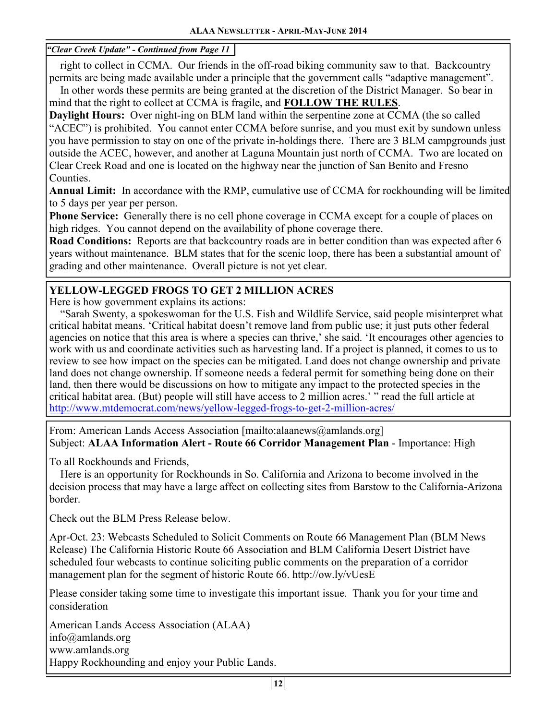*"Clear Creek Update" - Continued from Page 11* 

 right to collect in CCMA. Our friends in the off-road biking community saw to that. Backcountry permits are being made available under a principle that the government calls "adaptive management".

 In other words these permits are being granted at the discretion of the District Manager. So bear in mind that the right to collect at CCMA is fragile, and **FOLLOW THE RULES**.

**Daylight Hours:** Over night-ing on BLM land within the serpentine zone at CCMA (the so called "ACEC") is prohibited. You cannot enter CCMA before sunrise, and you must exit by sundown unless you have permission to stay on one of the private in-holdings there. There are 3 BLM campgrounds just outside the ACEC, however, and another at Laguna Mountain just north of CCMA. Two are located on Clear Creek Road and one is located on the highway near the junction of San Benito and Fresno Counties.

**Annual Limit:** In accordance with the RMP, cumulative use of CCMA for rockhounding will be limited to 5 days per year per person.

**Phone Service:** Generally there is no cell phone coverage in CCMA except for a couple of places on high ridges. You cannot depend on the availability of phone coverage there.

**Road Conditions:** Reports are that backcountry roads are in better condition than was expected after 6 years without maintenance. BLM states that for the scenic loop, there has been a substantial amount of grading and other maintenance. Overall picture is not yet clear.

## **YELLOW-LEGGED FROGS TO GET 2 MILLION ACRES**

Here is how government explains its actions:

 "Sarah Swenty, a spokeswoman for the U.S. Fish and Wildlife Service, said people misinterpret what critical habitat means. 'Critical habitat doesn't remove land from public use; it just puts other federal agencies on notice that this area is where a species can thrive,' she said. 'It encourages other agencies to work with us and coordinate activities such as harvesting land. If a project is planned, it comes to us to review to see how impact on the species can be mitigated. Land does not change ownership and private land does not change ownership. If someone needs a federal permit for something being done on their land, then there would be discussions on how to mitigate any impact to the protected species in the critical habitat area. (But) people will still have access to 2 million acres.' " read the full article at http://www.mtdemocrat.com/news/yellow-legged-frogs-to-get-2-million-acres/

From: American Lands Access Association [mailto:alaanews@amlands.org] Subject: **ALAA Information Alert - Route 66 Corridor Management Plan** - Importance: High

To all Rockhounds and Friends,

 Here is an opportunity for Rockhounds in So. California and Arizona to become involved in the decision process that may have a large affect on collecting sites from Barstow to the California-Arizona border.

Check out the BLM Press Release below.

Apr-Oct. 23: Webcasts Scheduled to Solicit Comments on Route 66 Management Plan (BLM News Release) The California Historic Route 66 Association and BLM California Desert District have scheduled four webcasts to continue soliciting public comments on the preparation of a corridor management plan for the segment of historic Route 66. http://ow.ly/vUesE

Please consider taking some time to investigate this important issue. Thank you for your time and consideration

American Lands Access Association (ALAA) info@amlands.org www.amlands.org Happy Rockhounding and enjoy your Public Lands.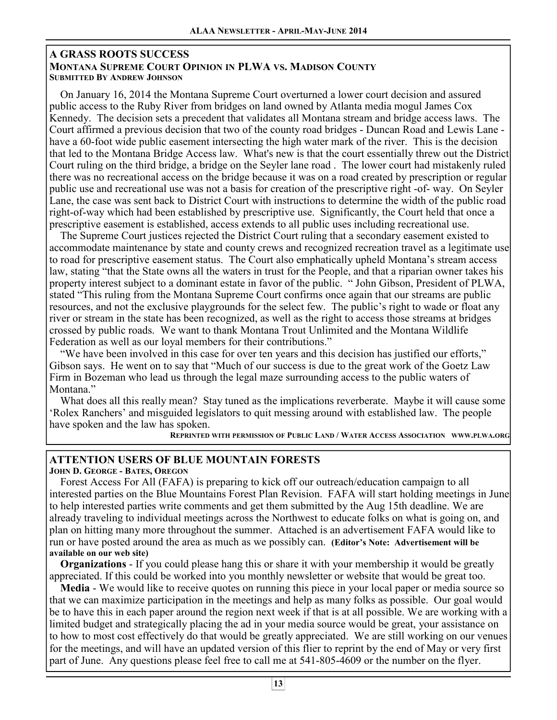### **A GRASS ROOTS SUCCESS MONTANA SUPREME COURT OPINION IN PLWA VS. MADISON COUNTY SUBMITTED BY ANDREW JOHNSON**

 On January 16, 2014 the Montana Supreme Court overturned a lower court decision and assured public access to the Ruby River from bridges on land owned by Atlanta media mogul James Cox Kennedy. The decision sets a precedent that validates all Montana stream and bridge access laws. The Court affirmed a previous decision that two of the county road bridges - Duncan Road and Lewis Lane have a 60-foot wide public easement intersecting the high water mark of the river. This is the decision that led to the Montana Bridge Access law. What's new is that the court essentially threw out the District Court ruling on the third bridge, a bridge on the Seyler lane road . The lower court had mistakenly ruled there was no recreational access on the bridge because it was on a road created by prescription or regular public use and recreational use was not a basis for creation of the prescriptive right -of- way. On Seyler Lane, the case was sent back to District Court with instructions to determine the width of the public road right-of-way which had been established by prescriptive use. Significantly, the Court held that once a prescriptive easement is established, access extends to all public uses including recreational use.

 The Supreme Court justices rejected the District Court ruling that a secondary easement existed to accommodate maintenance by state and county crews and recognized recreation travel as a legitimate use to road for prescriptive easement status. The Court also emphatically upheld Montana's stream access law, stating "that the State owns all the waters in trust for the People, and that a riparian owner takes his property interest subject to a dominant estate in favor of the public. " John Gibson, President of PLWA, stated "This ruling from the Montana Supreme Court confirms once again that our streams are public resources, and not the exclusive playgrounds for the select few. The public's right to wade or float any river or stream in the state has been recognized, as well as the right to access those streams at bridges crossed by public roads. We want to thank Montana Trout Unlimited and the Montana Wildlife Federation as well as our loyal members for their contributions."

 "We have been involved in this case for over ten years and this decision has justified our efforts," Gibson says. He went on to say that "Much of our success is due to the great work of the Goetz Law Firm in Bozeman who lead us through the legal maze surrounding access to the public waters of Montana."

 What does all this really mean? Stay tuned as the implications reverberate. Maybe it will cause some 'Rolex Ranchers' and misguided legislators to quit messing around with established law. The people have spoken and the law has spoken.

REPRINTED WITH PERMISSION OF PUBLIC LAND / WATER ACCESS ASSOCIATION WWW.PLWA.ORG

### **ATTENTION USERS OF BLUE MOUNTAIN FORESTS**

**JOHN D. GEORGE - BATES, OREGON**

 Forest Access For All (FAFA) is preparing to kick off our outreach/education campaign to all interested parties on the Blue Mountains Forest Plan Revision. FAFA will start holding meetings in June to help interested parties write comments and get them submitted by the Aug 15th deadline. We are already traveling to individual meetings across the Northwest to educate folks on what is going on, and plan on hitting many more throughout the summer. Attached is an advertisement FAFA would like to run or have posted around the area as much as we possibly can. **(Editor's Note: Advertisement will be available on our web site)**

 **Organizations** - If you could please hang this or share it with your membership it would be greatly appreciated. If this could be worked into you monthly newsletter or website that would be great too.

 **Media** - We would like to receive quotes on running this piece in your local paper or media source so that we can maximize participation in the meetings and help as many folks as possible. Our goal would be to have this in each paper around the region next week if that is at all possible. We are working with a limited budget and strategically placing the ad in your media source would be great, your assistance on to how to most cost effectively do that would be greatly appreciated. We are still working on our venues for the meetings, and will have an updated version of this flier to reprint by the end of May or very first part of June. Any questions please feel free to call me at 541-805-4609 or the number on the flyer.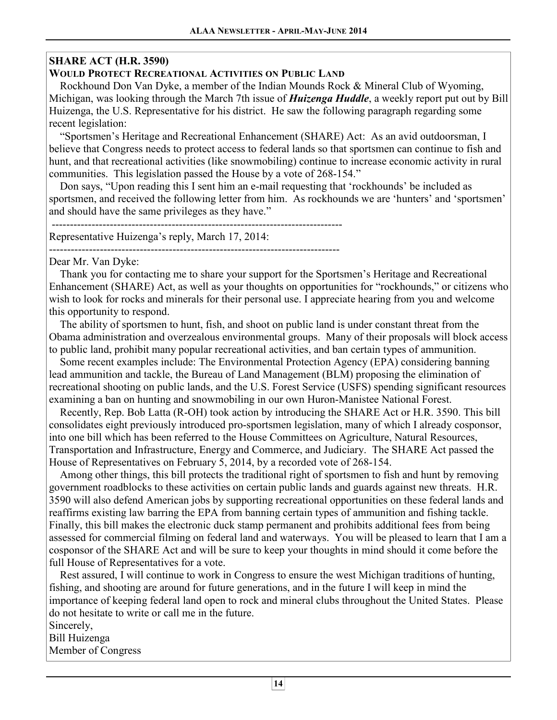# **SHARE ACT (H.R. 3590)**

## **WOULD PROTECT RECREATIONAL ACTIVITIES ON PUBLIC LAND**

 Rockhound Don Van Dyke, a member of the Indian Mounds Rock & Mineral Club of Wyoming, Michigan, was looking through the March 7th issue of *Huizenga Huddle*, a weekly report put out by Bill Huizenga, the U.S. Representative for his district. He saw the following paragraph regarding some recent legislation:

 "Sportsmen's Heritage and Recreational Enhancement (SHARE) Act: As an avid outdoorsman, I believe that Congress needs to protect access to federal lands so that sportsmen can continue to fish and hunt, and that recreational activities (like snowmobiling) continue to increase economic activity in rural communities. This legislation passed the House by a vote of 268-154."

 Don says, "Upon reading this I sent him an e-mail requesting that 'rockhounds' be included as sportsmen, and received the following letter from him. As rockhounds we are 'hunters' and 'sportsmen' and should have the same privileges as they have."

 -------------------------------------------------------------------------------- Representative Huizenga's reply, March 17, 2014:

--------------------------------------------------------------------------------

Dear Mr. Van Dyke:

 Thank you for contacting me to share your support for the Sportsmen's Heritage and Recreational Enhancement (SHARE) Act, as well as your thoughts on opportunities for "rockhounds," or citizens who wish to look for rocks and minerals for their personal use. I appreciate hearing from you and welcome this opportunity to respond.

 The ability of sportsmen to hunt, fish, and shoot on public land is under constant threat from the Obama administration and overzealous environmental groups. Many of their proposals will block access to public land, prohibit many popular recreational activities, and ban certain types of ammunition.

 Some recent examples include: The Environmental Protection Agency (EPA) considering banning lead ammunition and tackle, the Bureau of Land Management (BLM) proposing the elimination of recreational shooting on public lands, and the U.S. Forest Service (USFS) spending significant resources examining a ban on hunting and snowmobiling in our own Huron-Manistee National Forest.

 Recently, Rep. Bob Latta (R-OH) took action by introducing the SHARE Act or H.R. 3590. This bill consolidates eight previously introduced pro-sportsmen legislation, many of which I already cosponsor, into one bill which has been referred to the House Committees on Agriculture, Natural Resources, Transportation and Infrastructure, Energy and Commerce, and Judiciary. The SHARE Act passed the House of Representatives on February 5, 2014, by a recorded vote of 268-154.

 Among other things, this bill protects the traditional right of sportsmen to fish and hunt by removing government roadblocks to these activities on certain public lands and guards against new threats. H.R. 3590 will also defend American jobs by supporting recreational opportunities on these federal lands and reaffirms existing law barring the EPA from banning certain types of ammunition and fishing tackle. Finally, this bill makes the electronic duck stamp permanent and prohibits additional fees from being assessed for commercial filming on federal land and waterways. You will be pleased to learn that I am a cosponsor of the SHARE Act and will be sure to keep your thoughts in mind should it come before the full House of Representatives for a vote.

 Rest assured, I will continue to work in Congress to ensure the west Michigan traditions of hunting, fishing, and shooting are around for future generations, and in the future I will keep in mind the importance of keeping federal land open to rock and mineral clubs throughout the United States. Please do not hesitate to write or call me in the future.

Sincerely, Bill Huizenga Member of Congress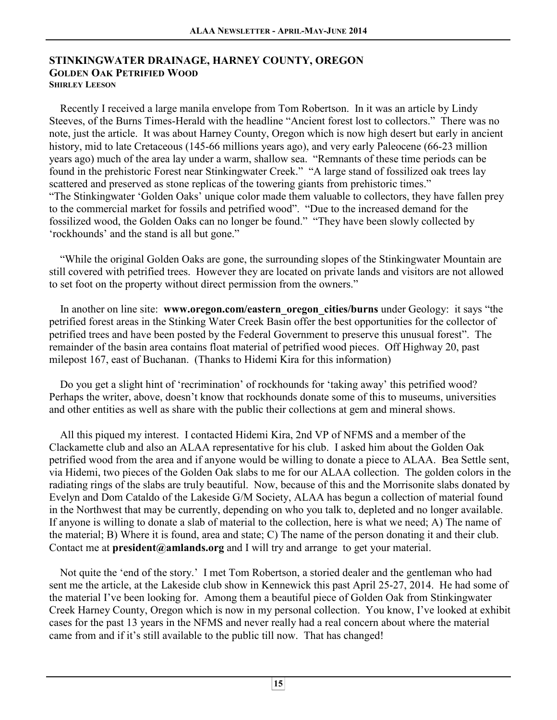### **STINKINGWATER DRAINAGE, HARNEY COUNTY, OREGON GOLDEN OAK PETRIFIED WOOD SHIRLEY LEESON**

 Recently I received a large manila envelope from Tom Robertson. In it was an article by Lindy Steeves, of the Burns Times-Herald with the headline "Ancient forest lost to collectors." There was no note, just the article. It was about Harney County, Oregon which is now high desert but early in ancient history, mid to late Cretaceous (145-66 millions years ago), and very early Paleocene (66-23 million years ago) much of the area lay under a warm, shallow sea. "Remnants of these time periods can be found in the prehistoric Forest near Stinkingwater Creek." "A large stand of fossilized oak trees lay scattered and preserved as stone replicas of the towering giants from prehistoric times." "The Stinkingwater 'Golden Oaks' unique color made them valuable to collectors, they have fallen prey to the commercial market for fossils and petrified wood". "Due to the increased demand for the fossilized wood, the Golden Oaks can no longer be found." "They have been slowly collected by 'rockhounds' and the stand is all but gone."

 "While the original Golden Oaks are gone, the surrounding slopes of the Stinkingwater Mountain are still covered with petrified trees. However they are located on private lands and visitors are not allowed to set foot on the property without direct permission from the owners."

 In another on line site: **www.oregon.com/eastern\_oregon\_cities/burns** under Geology: it says "the petrified forest areas in the Stinking Water Creek Basin offer the best opportunities for the collector of petrified trees and have been posted by the Federal Government to preserve this unusual forest". The remainder of the basin area contains float material of petrified wood pieces. Off Highway 20, past milepost 167, east of Buchanan. (Thanks to Hidemi Kira for this information)

 Do you get a slight hint of 'recrimination' of rockhounds for 'taking away' this petrified wood? Perhaps the writer, above, doesn't know that rockhounds donate some of this to museums, universities and other entities as well as share with the public their collections at gem and mineral shows.

 All this piqued my interest. I contacted Hidemi Kira, 2nd VP of NFMS and a member of the Clackamette club and also an ALAA representative for his club. I asked him about the Golden Oak petrified wood from the area and if anyone would be willing to donate a piece to ALAA. Bea Settle sent, via Hidemi, two pieces of the Golden Oak slabs to me for our ALAA collection. The golden colors in the radiating rings of the slabs are truly beautiful. Now, because of this and the Morrisonite slabs donated by Evelyn and Dom Cataldo of the Lakeside G/M Society, ALAA has begun a collection of material found in the Northwest that may be currently, depending on who you talk to, depleted and no longer available. If anyone is willing to donate a slab of material to the collection, here is what we need; A) The name of the material; B) Where it is found, area and state; C) The name of the person donating it and their club. Contact me at **president@amlands.org** and I will try and arrange to get your material.

 Not quite the 'end of the story.' I met Tom Robertson, a storied dealer and the gentleman who had sent me the article, at the Lakeside club show in Kennewick this past April 25-27, 2014. He had some of the material I've been looking for. Among them a beautiful piece of Golden Oak from Stinkingwater Creek Harney County, Oregon which is now in my personal collection. You know, I've looked at exhibit cases for the past 13 years in the NFMS and never really had a real concern about where the material came from and if it's still available to the public till now. That has changed!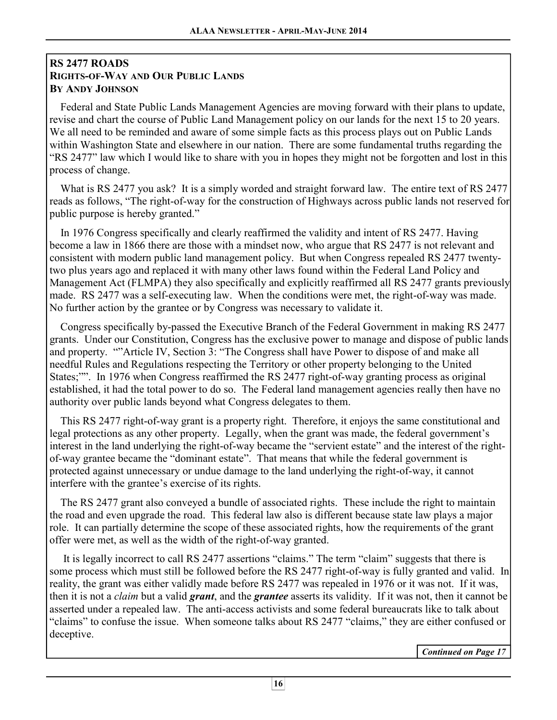## **RS 2477 ROADS RIGHTS-OF-WAY AND OUR PUBLIC LANDS BY ANDY JOHNSON**

 Federal and State Public Lands Management Agencies are moving forward with their plans to update, revise and chart the course of Public Land Management policy on our lands for the next 15 to 20 years. We all need to be reminded and aware of some simple facts as this process plays out on Public Lands within Washington State and elsewhere in our nation. There are some fundamental truths regarding the "RS 2477" law which I would like to share with you in hopes they might not be forgotten and lost in this process of change.  $\mathbf{1}$ 

What is RS 2477 you ask? It is a simply worded and straight forward law. The entire text of RS 2477 reads as follows, "The right-of-way for the construction of Highways across public lands not reserved for public purpose is hereby granted."  $\mathbf{1}$ 

 In 1976 Congress specifically and clearly reaffirmed the validity and intent of RS 2477. Having become a law in 1866 there are those with a mindset now, who argue that RS 2477 is not relevant and consistent with modern public land management policy. But when Congress repealed RS 2477 twentytwo plus years ago and replaced it with many other laws found within the Federal Land Policy and Management Act (FLMPA) they also specifically and explicitly reaffirmed all RS 2477 grants previously made. RS 2477 was a self-executing law. When the conditions were met, the right-of-way was made. No further action by the grantee or by Congress was necessary to validate it. <sup>\*</sup>

 Congress specifically by-passed the Executive Branch of the Federal Government in making RS 2477 grants. Under our Constitution, Congress has the exclusive power to manage and dispose of public lands and property. ""Article IV, Section 3: "The Congress shall have Power to dispose of and make all needful Rules and Regulations respecting the Territory or other property belonging to the United States;"". In 1976 when Congress reaffirmed the RS 2477 right-of-way granting process as original established, it had the total power to do so. The Federal land management agencies really then have no authority over public lands beyond what Congress delegates to them. Ì

 This RS 2477 right-of-way grant is a property right. Therefore, it enjoys the same constitutional and legal protections as any other property. Legally, when the grant was made, the federal government's interest in the land underlying the right-of-way became the "servient estate" and the interest of the rightof-way grantee became the "dominant estate". That means that while the federal government is protected against unnecessary or undue damage to the land underlying the right-of-way, it cannot interfere with the grantee's exercise of its rights.

 The RS 2477 grant also conveyed a bundle of associated rights. These include the right to maintain the road and even upgrade the road. This federal law also is different because state law plays a major role. It can partially determine the scope of these associated rights, how the requirements of the grant offer were met, as well as the width of the right-of-way granted. Ì

 It is legally incorrect to call RS 2477 assertions "claims." The term "claim" suggests that there is some process which must still be followed before the RS 2477 right-of-way is fully granted and valid. In reality, the grant was either validly made before RS 2477 was repealed in 1976 or it was not. If it was, then it is not a *claim* but a valid *grant*, and the *grantee* asserts its validity. If it was not, then it cannot be asserted under a repealed law. The anti-access activists and some federal bureaucrats like to talk about "claims" to confuse the issue. When someone talks about RS 2477 "claims," they are either confused or deceptive.

*Continued on Page 17*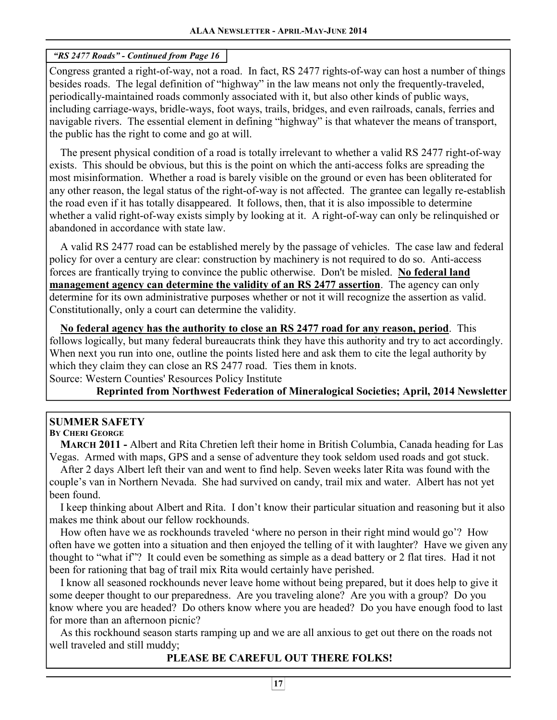### *"RS 2477 Roads" - Continued from Page 16*

Congress granted a right-of-way, not a road. In fact, RS 2477 rights-of-way can host a number of things besides roads. The legal definition of "highway" in the law means not only the frequently-traveled, periodically-maintained roads commonly associated with it, but also other kinds of public ways, including carriage-ways, bridle-ways, foot ways, trails, bridges, and even railroads, canals, ferries and navigable rivers. The essential element in defining "highway" is that whatever the means of transport, the public has the right to come and go at will. Ī

 The present physical condition of a road is totally irrelevant to whether a valid RS 2477 right-of-way exists. This should be obvious, but this is the point on which the anti-access folks are spreading the most misinformation. Whether a road is barely visible on the ground or even has been obliterated for any other reason, the legal status of the right-of-way is not affected. The grantee can legally re-establish the road even if it has totally disappeared. It follows, then, that it is also impossible to determine whether a valid right-of-way exists simply by looking at it. A right-of-way can only be relinquished or abandoned in accordance with state law.

 A valid RS 2477 road can be established merely by the passage of vehicles. The case law and federal policy for over a century are clear: construction by machinery is not required to do so. Anti-access forces are frantically trying to convince the public otherwise. Don't be misled. **No federal land management agency can determine the validity of an RS 2477 assertion**. The agency can only determine for its own administrative purposes whether or not it will recognize the assertion as valid. Constitutionally, only a court can determine the validity. Ĭ

 **No federal agency has the authority to close an RS 2477 road for any reason, period**. This follows logically, but many federal bureaucrats think they have this authority and try to act accordingly. When next you run into one, outline the points listed here and ask them to cite the legal authority by which they claim they can close an RS 2477 road. Ties them in knots. Source: Western Counties' Resources Policy Institute

**Reprinted from Northwest Federation of Mineralogical Societies; April, 2014 Newsletter** 

# **SUMMER SAFETY**

### **BY CHERI GEORGE**

 **MARCH 2011 -** Albert and Rita Chretien left their home in British Columbia, Canada heading for Las Vegas. Armed with maps, GPS and a sense of adventure they took seldom used roads and got stuck.

 After 2 days Albert left their van and went to find help. Seven weeks later Rita was found with the couple's van in Northern Nevada. She had survived on candy, trail mix and water. Albert has not yet been found.

 I keep thinking about Albert and Rita. I don't know their particular situation and reasoning but it also makes me think about our fellow rockhounds.

 How often have we as rockhounds traveled 'where no person in their right mind would go'? How often have we gotten into a situation and then enjoyed the telling of it with laughter? Have we given any thought to "what if"? It could even be something as simple as a dead battery or 2 flat tires. Had it not been for rationing that bag of trail mix Rita would certainly have perished.

 I know all seasoned rockhounds never leave home without being prepared, but it does help to give it some deeper thought to our preparedness. Are you traveling alone? Are you with a group? Do you know where you are headed? Do others know where you are headed? Do you have enough food to last for more than an afternoon picnic?

 As this rockhound season starts ramping up and we are all anxious to get out there on the roads not well traveled and still muddy;

# **PLEASE BE CAREFUL OUT THERE FOLKS!**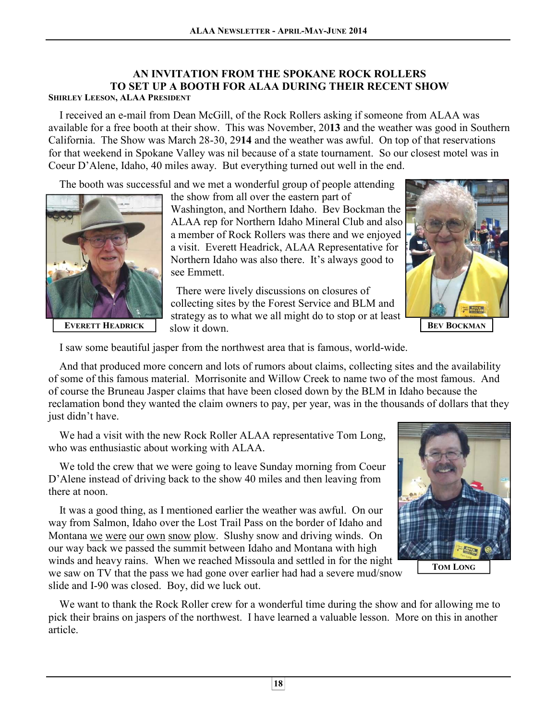### **AN INVITATION FROM THE SPOKANE ROCK ROLLERS TO SET UP A BOOTH FOR ALAA DURING THEIR RECENT SHOW SHIRLEY LEESON, ALAA PRESIDENT**

 I received an e-mail from Dean McGill, of the Rock Rollers asking if someone from ALAA was available for a free booth at their show. This was November, 20**13** and the weather was good in Southern California. The Show was March 28-30, 29**14** and the weather was awful. On top of that reservations for that weekend in Spokane Valley was nil because of a state tournament. So our closest motel was in Coeur D'Alene, Idaho, 40 miles away. But everything turned out well in the end.

The booth was successful and we met a wonderful group of people attending



 the show from all over the eastern part of Washington, and Northern Idaho. Bev Bockman the ALAA rep for Northern Idaho Mineral Club and also a member of Rock Rollers was there and we enjoyed a visit. Everett Headrick, ALAA Representative for Northern Idaho was also there. It's always good to see Emmett.

 There were lively discussions on closures of collecting sites by the Forest Service and BLM and strategy as to what we all might do to stop or at least slow it down. **EVERETT HEADRICK BEV BEV BEV BEV BEV BEV BEV** 



I saw some beautiful jasper from the northwest area that is famous, world-wide.

 And that produced more concern and lots of rumors about claims, collecting sites and the availability of some of this famous material. Morrisonite and Willow Creek to name two of the most famous. And of course the Bruneau Jasper claims that have been closed down by the BLM in Idaho because the reclamation bond they wanted the claim owners to pay, per year, was in the thousands of dollars that they just didn't have.

 We had a visit with the new Rock Roller ALAA representative Tom Long, who was enthusiastic about working with ALAA.

 We told the crew that we were going to leave Sunday morning from Coeur D'Alene instead of driving back to the show 40 miles and then leaving from there at noon.

 It was a good thing, as I mentioned earlier the weather was awful. On our way from Salmon, Idaho over the Lost Trail Pass on the border of Idaho and Montana we were our own snow plow. Slushy snow and driving winds. On our way back we passed the summit between Idaho and Montana with high winds and heavy rains. When we reached Missoula and settled in for the night we saw on TV that the pass we had gone over earlier had had a severe mud/snow slide and I-90 was closed. Boy, did we luck out.



**TOM LONG**

 We want to thank the Rock Roller crew for a wonderful time during the show and for allowing me to pick their brains on jaspers of the northwest. I have learned a valuable lesson. More on this in another article.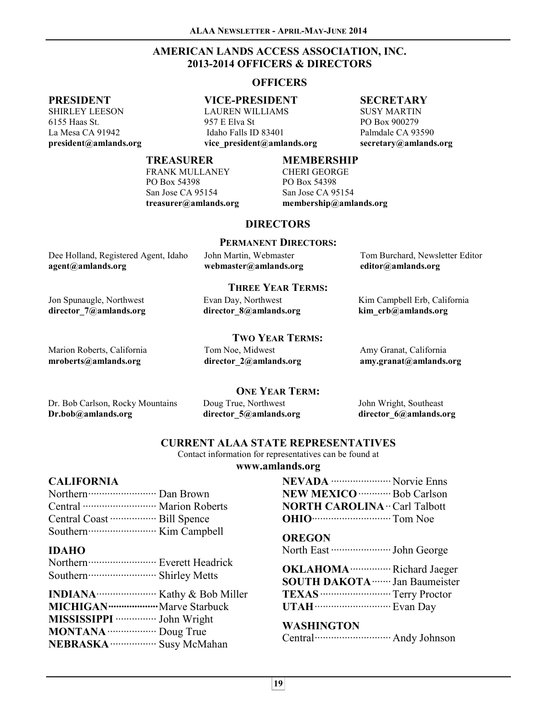### **AMERICAN LANDS ACCESS ASSOCIATION, INC. 2013-2014 OFFICERS & DIRECTORS**

### **OFFICERS**

### **PRESIDENT**

SHIRLEY LEESON 6155 Haas St. La Mesa CA 91942 **president@amlands.org** 

### **VICE-PRESIDENT**

LAUREN WILLIAMS 957 E Elva St Idaho Falls ID 83401 **vice\_president@amlands.org** 

### **SECRETARY**

SUSY MARTIN PO Box 900279 Palmdale CA 93590 **secretary@amlands.org** 

#### **TREASURER**

FRANK MULLANEY PO Box 54398 San Jose CA 95154 **treasurer@amlands.org** 

### **MEMBERSHIP**

CHERI GEORGE PO Box 54398 San Jose CA 95154 **membership@amlands.org** 

### **DIRECTORS**

#### **PERMANENT DIRECTORS:**

| Dee Holland, Registered Agent, Idaho | John Martin, Webmaster | Tom Burchard, Newsletter Editor |
|--------------------------------------|------------------------|---------------------------------|
| agent@amlands.org                    | webmaster@amlands.org  | editor@amlands.org              |

#### **THREE YEAR TERMS:**

Evan Day, Northwest **director\_8@amlands.org**  Kim Campbell Erb, California **kim\_erb@amlands.org** 

### **TWO YEAR TERMS:**

Marion Roberts, California **mroberts@amlands.org** 

Jon Spunaugle, Northwest **director\_7@amlands.org** 

> Tom Noe, Midwest **director\_2@amlands.org**

**director\_5@amlands.org** 

Amy Granat, California **amy.granat@amlands.org** 

**ONE YEAR TERM:** 

Dr. Bob Carlson, Rocky Mountains **Dr.bob@amlands.org** 

Doug True, Northwest

John Wright, Southeast **director\_6@amlands.org** 

### **CURRENT ALAA STATE REPRESENTATIVES**

Contact information for representatives can be found at

#### **www.amlands.org**

#### **CALIFORNIA**

### **IDAHO**

| <b>MICHIGAN</b> ························· Marve Starbuck |  |
|----------------------------------------------------------|--|
| MISSISSIPPI ················· John Wright                |  |
| <b>MONTANA</b> Doug True                                 |  |
| NEBRASKA ·················· Susy McMahan                 |  |

| <b>NEVADA</b> <i><b>With Charles Contains</b></i> Norvie Enns |  |
|---------------------------------------------------------------|--|
| <b>NEW MEXICO</b> ·············· Bob Carlson                  |  |
| <b>NORTH CAROLINA</b> ·· Carl Talbott                         |  |
| <b>OHIO CONSERVING</b> Tom Noe                                |  |

**OREGON**  North East ······················ John George

**OKLAHOMA**··············· Richard Jaeger **SOUTH DAKOTA**······· Jan Baumeister

**TEXAS**·························· Terry Proctor **UTAH**···························· Evan Day

### **WASHINGTON**

Central···························· Andy Johnson